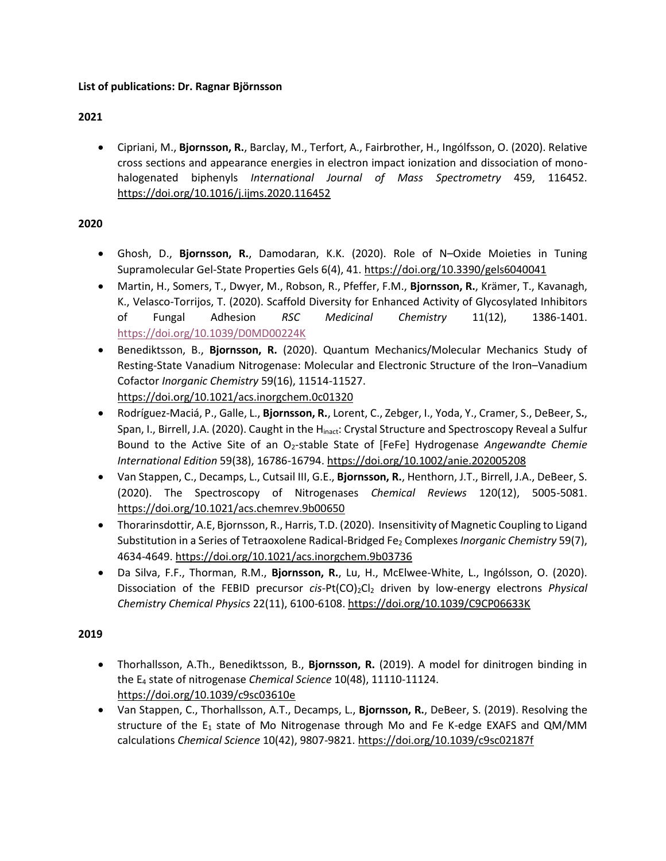### **2021**

• Cipriani, M., **Bjornsson, R.**, Barclay, M., Terfort, A., Fairbrother, H., Ingólfsson, O. (2020). Relative cross sections and appearance energies in electron impact ionization and dissociation of monohalogenated biphenyls *International Journal of Mass Spectrometry* 459, 116452. <https://doi.org/10.1016/j.ijms.2020.116452>

### **2020**

- Ghosh, D., **Bjornsson, R.**, Damodaran, K.K. (2020). Role of N–Oxide Moieties in Tuning Supramolecular Gel-State Properties Gels 6(4), 41.<https://doi.org/10.3390/gels6040041>
- Martin, H., Somers, T., Dwyer, M., Robson, R., Pfeffer, F.M., **Bjornsson, R.**, Krämer, T., Kavanagh, K., Velasco-Torrijos, T. (2020). Scaffold Diversity for Enhanced Activity of Glycosylated Inhibitors of Fungal Adhesion *RSC Medicinal Chemistry* 11(12), 1386-1401. <https://doi.org/10.1039/D0MD00224K>
- Benediktsson, B., **Bjornsson, R.** (2020). Quantum Mechanics/Molecular Mechanics Study of Resting-State Vanadium Nitrogenase: Molecular and Electronic Structure of the Iron–Vanadium Cofactor *Inorganic Chemistry* 59(16), 11514-11527. <https://doi.org/10.1021/acs.inorgchem.0c01320>
- Rodríguez-Maciá, P., Galle, L., **Bjornsson, R.**, Lorent, C., Zebger, I., Yoda, Y., Cramer, S., DeBeer, S**.**, Span, I., Birrell, J.A. (2020). Caught in the H<sub>inact</sub>: Crystal Structure and Spectroscopy Reveal a Sulfur Bound to the Active Site of an O2‐stable State of [FeFe] Hydrogenase *Angewandte Chemie International Edition* 59(38), 16786-16794.<https://doi.org/10.1002/anie.202005208>
- Van Stappen, C., Decamps, L., Cutsail III, G.E., **Bjornsson, R.**, Henthorn, J.T., Birrell, J.A., DeBeer, S. (2020). The Spectroscopy of Nitrogenases *Chemical Reviews* 120(12), 5005-5081. <https://doi.org/10.1021/acs.chemrev.9b00650>
- Thorarinsdottir, A.E, Bjornsson, R., Harris, T.D. (2020). Insensitivity of Magnetic Coupling to Ligand Substitution in a Series of Tetraoxolene Radical-Bridged Fe<sup>2</sup> Complexes *Inorganic Chemistry* 59(7), 4634-4649.<https://doi.org/10.1021/acs.inorgchem.9b03736>
- Da Silva, F.F., Thorman, R.M., **Bjornsson, R.**, Lu, H., McElwee-White, L., Ingólsson, O. (2020). Dissociation of the FEBID precursor *cis-Pt(CO)*<sub>2</sub>Cl<sub>2</sub> driven by low-energy electrons *Physical Chemistry Chemical Physics* 22(11), 6100-6108. <https://doi.org/10.1039/C9CP06633K>

- Thorhallsson, A.Th., Benediktsson, B., **Bjornsson, R.** (2019). A model for dinitrogen binding in the E<sup>4</sup> state of nitrogenase *Chemical Science* 10(48), 11110-11124. <https://doi.org/10.1039/c9sc03610e>
- Van Stappen, C., Thorhallsson, A.T., Decamps, L., **Bjornsson, R.**, DeBeer, S. (2019). Resolving the structure of the  $E_1$  state of Mo Nitrogenase through Mo and Fe K-edge EXAFS and QM/MM calculations *Chemical Science* 10(42), 9807-9821.<https://doi.org/10.1039/c9sc02187f>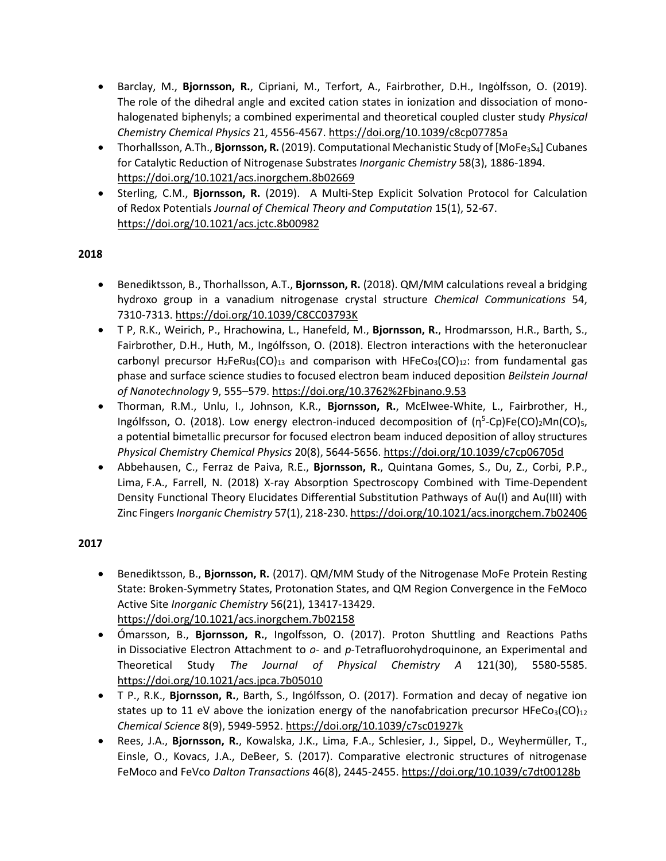- Barclay, M., **Bjornsson, R.**, Cipriani, M., Terfort, A., Fairbrother, D.H., Ingȯlfsson, O. (2019). The role of the dihedral angle and excited cation states in ionization and dissociation of monohalogenated biphenyls; a combined experimental and theoretical coupled cluster study *Physical Chemistry Chemical Physics* 21, 4556-4567. <https://doi.org/10.1039/c8cp07785a>
- Thorhallsson, A.Th., **Bjornsson, R.** (2019). Computational Mechanistic Study of [MoFe<sub>3</sub>S<sub>4</sub>] Cubanes for Catalytic Reduction of Nitrogenase Substrates *Inorganic Chemistry* 58(3), 1886-1894. <https://doi.org/10.1021/acs.inorgchem.8b02669>
- Sterling, C.M., **Bjornsson, R.** (2019). A Multi-Step Explicit Solvation Protocol for Calculation of Redox Potentials *Journal of Chemical Theory and Computation* 15(1), 52-67. <https://doi.org/10.1021/acs.jctc.8b00982>

#### **2018**

- Benediktsson, B., Thorhallsson, A.T., **Bjornsson, R.** (2018). QM/MM calculations reveal a bridging hydroxo group in a vanadium nitrogenase crystal structure *Chemical Communications* 54, 7310-7313. <https://doi.org/10.1039/C8CC03793K>
- T P, R.K., Weirich, P., Hrachowina, L., Hanefeld, M., **Bjornsson, R.**, Hrodmarsson, H.R., Barth, S., Fairbrother, D.H., Huth, M., Ingólfsson, O. (2018). Electron interactions with the heteronuclear carbonyl precursor H<sub>2</sub>FeRu<sub>3</sub>(CO)<sub>13</sub> and comparison with HFeCo<sub>3</sub>(CO)<sub>12</sub>: from fundamental gas phase and surface science studies to focused electron beam induced deposition *Beilstein Journal of Nanotechnology* 9, 555–579. <https://doi.org/10.3762%2Fbjnano.9.53>
- Thorman, R.M., Unlu, I., Johnson, K.R., **Bjornsson, R.**, McElwee-White, L., Fairbrother, H., Ingólfsson, O. (2018). Low energy electron-induced decomposition of (η<sup>5</sup>-Cp)Fe(CO)<sub>2</sub>Mn(CO)<sub>5</sub>, a potential bimetallic precursor for focused electron beam induced deposition of alloy structures *Physical Chemistry Chemical Physics* 20(8), 5644-5656. <https://doi.org/10.1039/c7cp06705d>
- Abbehausen, C., Ferraz de Paiva, R.E., **Bjornsson, R.**, Quintana Gomes, S., Du, Z., Corbi, P.P., Lima, F.A., Farrell, N. (2018) X‐ray Absorption Spectroscopy Combined with Time-Dependent Density Functional Theory Elucidates Differential Substitution Pathways of Au(I) and Au(III) with Zinc Fingers *Inorganic Chemistry* 57(1), 218-230. <https://doi.org/10.1021/acs.inorgchem.7b02406>

- Benediktsson, B., **Bjornsson, R.** (2017). QM/MM Study of the Nitrogenase MoFe Protein Resting State: Broken-Symmetry States, Protonation States, and QM Region Convergence in the FeMoco Active Site *Inorganic Chemistry* 56(21), 13417-13429. <https://doi.org/10.1021/acs.inorgchem.7b02158>
- Ómarsson, B., **Bjornsson, R.**, Ingolfsson, O. (2017). Proton Shuttling and Reactions Paths in Dissociative Electron Attachment to *o*- and *p*-Tetrafluorohydroquinone, an Experimental and Theoretical Study *The Journal of Physical Chemistry A* 121(30), 5580-5585. <https://doi.org/10.1021/acs.jpca.7b05010>
- T P., R.K., **Bjornsson, R.**, Barth, S., Ingólfsson, O. (2017). Formation and decay of negative ion states up to 11 eV above the ionization energy of the nanofabrication precursor HFeCo<sub>3</sub>(CO)<sub>12</sub> *Chemical Science* 8(9), 5949-5952[. https://doi.org/10.1039/c7sc01927k](https://doi.org/10.1039/c7sc01927k)
- Rees, J.A., **Bjornsson, R.**, Kowalska, J.K., Lima, F.A., Schlesier, J., Sippel, D., Weyhermüller, T., Einsle, O., Kovacs, J.A., DeBeer, S. (2017). Comparative electronic structures of nitrogenase FeMoco and FeVco *Dalton Transactions* 46(8), 2445-2455.<https://doi.org/10.1039/c7dt00128b>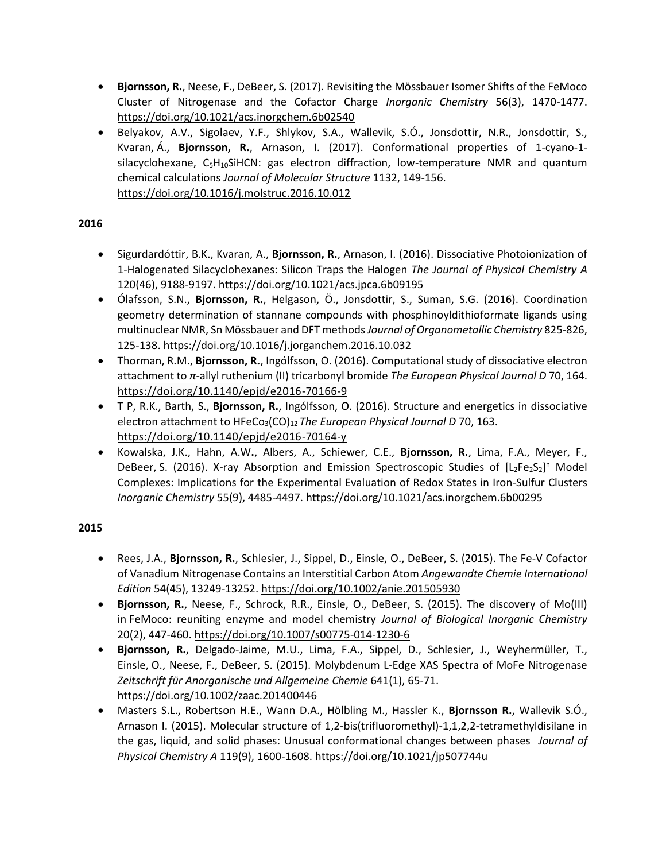- **Bjornsson, R.**, Neese, F., DeBeer, S. (2017). Revisiting the Mössbauer Isomer Shifts of the FeMoco Cluster of Nitrogenase and the Cofactor Charge *Inorganic Chemistry* 56(3), 1470-1477. <https://doi.org/10.1021/acs.inorgchem.6b02540>
- Belyakov, A.V., Sigolaev, Y.F., Shlykov, S.A., Wallevik, S.Ó., Jonsdottir, N.R., Jonsdottir, S., Kvaran, Á., **Bjornsson, R.**, Arnason, I. (2017). Conformational properties of 1-cyano-1  $silacyclohexane, C<sub>5</sub>H<sub>10</sub>SiHCN: gas electron diffraction, low-temperature NMR and quantum$ chemical calculations *Journal of Molecular Structure* 1132, 149-156. <https://doi.org/10.1016/j.molstruc.2016.10.012>

#### **2016**

- Sigurdardóttir, B.K., Kvaran, A., **Bjornsson, R.**, Arnason, I. (2016). Dissociative Photoionization of 1-Halogenated Silacyclohexanes: Silicon Traps the Halogen *The Journal of Physical Chemistry A*  120(46), 9188-9197. <https://doi.org/10.1021/acs.jpca.6b09195>
- Ólafsson, S.N., **Bjornsson, R.**, Helgason, Ö., Jonsdottir, S., Suman, S.G. (2016). Coordination geometry determination of stannane compounds with phosphinoyldithioformate ligands using multinuclear NMR, Sn Mössbauer and DFT methods *Journal of Organometallic Chemistry* 825-826, 125-138. <https://doi.org/10.1016/j.jorganchem.2016.10.032>
- Thorman, R.M., **Bjornsson, R.**, Ingólfsson, O. (2016). Computational study of dissociative electron attachment to *π*-allyl ruthenium (II) tricarbonyl bromide *The European Physical Journal D* 70, 164. <https://doi.org/10.1140/epjd/e2016-70166-9>
- T P, R.K., Barth, S., **Bjornsson, R.**, Ingólfsson, O. (2016). Structure and energetics in dissociative electron attachment to HFeCo<sub>3</sub>(CO)<sub>12</sub> The *European Physical Journal D* 70, 163. <https://doi.org/10.1140/epjd/e2016-70164-y>
- Kowalska, J.K., Hahn, A.W**.**, Albers, A., Schiewer, C.E., **Bjornsson, R.**, Lima, F.A., Meyer, F., DeBeer, S. (2016). X-ray Absorption and Emission Spectroscopic Studies of [L<sub>2</sub>Fe<sub>2</sub>S<sub>2</sub>]<sup>n</sup> Model Complexes: Implications for the Experimental Evaluation of Redox States in Iron-Sulfur Clusters *Inorganic Chemistry* 55(9), 4485-4497.<https://doi.org/10.1021/acs.inorgchem.6b00295>

- Rees, J.A., **Bjornsson, R.**, Schlesier, J., Sippel, D., Einsle, O., DeBeer, S. (2015). The Fe-V Cofactor of Vanadium Nitrogenase Contains an Interstitial Carbon Atom *Angewandte Chemie International Edition* 54(45), 13249-13252.<https://doi.org/10.1002/anie.201505930>
- **Bjornsson, R.**, Neese, F., Schrock, R.R., Einsle, O., DeBeer, S. (2015). The discovery of Mo(III) in FeMoco: reuniting enzyme and model chemistry *Journal of Biological Inorganic Chemistry*  20(2), 447-460[. https://doi.org/10.1007/s00775-014-1230-6](https://doi.org/10.1007/s00775-014-1230-6)
- **Bjornsson, R.**, Delgado-Jaime, M.U., Lima, F.A., Sippel, D., Schlesier, J., Weyhermüller, T., Einsle, O., Neese, F., DeBeer, S. (2015). Molybdenum L-Edge XAS Spectra of MoFe Nitrogenase *Zeitschrift für Anorganische und Allgemeine Chemie* 641(1), 65-71. <https://doi.org/10.1002/zaac.201400446>
- Masters S.L., Robertson H.E., Wann D.A., Hölbling M., Hassler K., **Bjornsson R.**, Wallevik S.Ó., Arnason I. (2015). Molecular structure of 1,2-bis(trifluoromethyl)-1,1,2,2-tetramethyldisilane in the gas, liquid, and solid phases: Unusual conformational changes between phases *Journal of Physical Chemistry A* 119(9), 1600-1608[. https://doi.org/10.1021/jp507744u](https://doi.org/10.1021/jp507744u)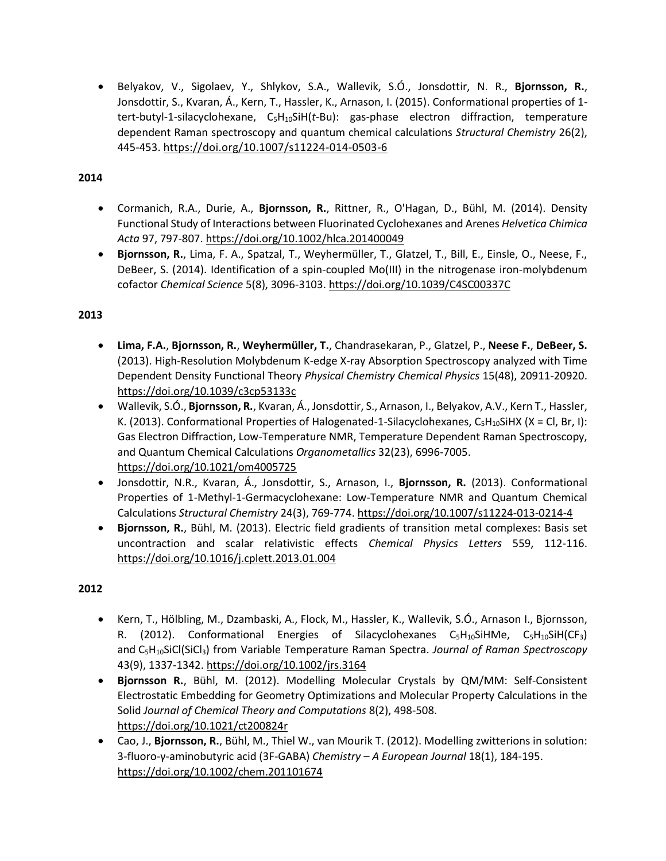• Belyakov, V., Sigolaev, Y., Shlykov, S.A., Wallevik, S.Ó., Jonsdottir, N. R., **Bjornsson, R.**, Jonsdottir, S., Kvaran, Á., Kern, T., Hassler, K., Arnason, I. (2015). Conformational properties of 1 tert-butyl-1-silacyclohexane, C5H10SiH(*t*-Bu): gas-phase electron diffraction, temperature dependent Raman spectroscopy and quantum chemical calculations *Structural Chemistry* 26(2), 445-453. <https://doi.org/10.1007/s11224-014-0503-6>

# **2014**

- Cormanich, R.A., Durie, A., **Bjornsson, R.**, Rittner, R., O'Hagan, D., Bühl, M. (2014). Density Functional Study of Interactions between Fluorinated Cyclohexanes and Arenes *Helvetica Chimica Acta* 97, 797-807. <https://doi.org/10.1002/hlca.201400049>
- **Bjornsson, R.**, Lima, F. A., Spatzal, T., Weyhermüller, T., Glatzel, T., Bill, E., Einsle, O., Neese, F., DeBeer, S. (2014). Identification of a spin-coupled Mo(III) in the nitrogenase iron-molybdenum cofactor *Chemical Science* 5(8), 3096-3103.<https://doi.org/10.1039/C4SC00337C>

# **2013**

- **Lima, F.A.**, **Bjornsson, R.**, **Weyhermüller, T.**, Chandrasekaran, P., Glatzel, P., **Neese F.**, **DeBeer, S.** (2013). High-Resolution Molybdenum K-edge X-ray Absorption Spectroscopy analyzed with Time Dependent Density Functional Theory *Physical Chemistry Chemical Physics* 15(48), 20911-20920. <https://doi.org/10.1039/c3cp53133c>
- Wallevik, S.Ó., **Bjornsson, R.**, Kvaran, Á., Jonsdottir, S., Arnason, I., Belyakov, A.V., Kern T., Hassler, K. (2013). Conformational Properties of Halogenated-1-Silacyclohexanes,  $C_5H_{10}SHX$  (X = Cl, Br, I): Gas Electron Diffraction, Low-Temperature NMR, Temperature Dependent Raman Spectroscopy, and Quantum Chemical Calculations *Organometallics* 32(23), 6996-7005. <https://doi.org/10.1021/om4005725>
- Jonsdottir, N.R., Kvaran, Á., Jonsdottir, S., Arnason, I., **Bjornsson, R.** (2013). Conformational Properties of 1-Methyl-1-Germacyclohexane: Low-Temperature NMR and Quantum Chemical Calculations *Structural Chemistry* 24(3), 769-774. <https://doi.org/10.1007/s11224-013-0214-4>
- **Bjornsson, R.**, Bühl, M. (2013). Electric field gradients of transition metal complexes: Basis set uncontraction and scalar relativistic effects *Chemical Physics Letters* 559, 112-116. <https://doi.org/10.1016/j.cplett.2013.01.004>

- Kern, T., Hölbling, M., Dzambaski, A., Flock, M., Hassler, K., Wallevik, S.Ó., Arnason I., Bjornsson, R. (2012). Conformational Energies of Silacyclohexanes  $C_5H_{10}S$ iHMe,  $C_5H_{10}S$ iH(CF<sub>3</sub>) and C5H10SiCl(SiCl3) from Variable Temperature Raman Spectra. *Journal of Raman Spectroscopy* 43(9), 1337-1342. <https://doi.org/10.1002/jrs.3164>
- **Bjornsson R.**, Bühl, M. (2012). Modelling Molecular Crystals by QM/MM: Self-Consistent Electrostatic Embedding for Geometry Optimizations and Molecular Property Calculations in the Solid *Journal of Chemical Theory and Computations* 8(2), 498-508. <https://doi.org/10.1021/ct200824r>
- Cao, J., **Bjornsson, R.**, Bühl, M., Thiel W., van Mourik T. (2012). Modelling zwitterions in solution: 3-fluoro-γ-aminobutyric acid (3F-GABA) *Chemistry – A European Journal* 18(1), 184-195. <https://doi.org/10.1002/chem.201101674>